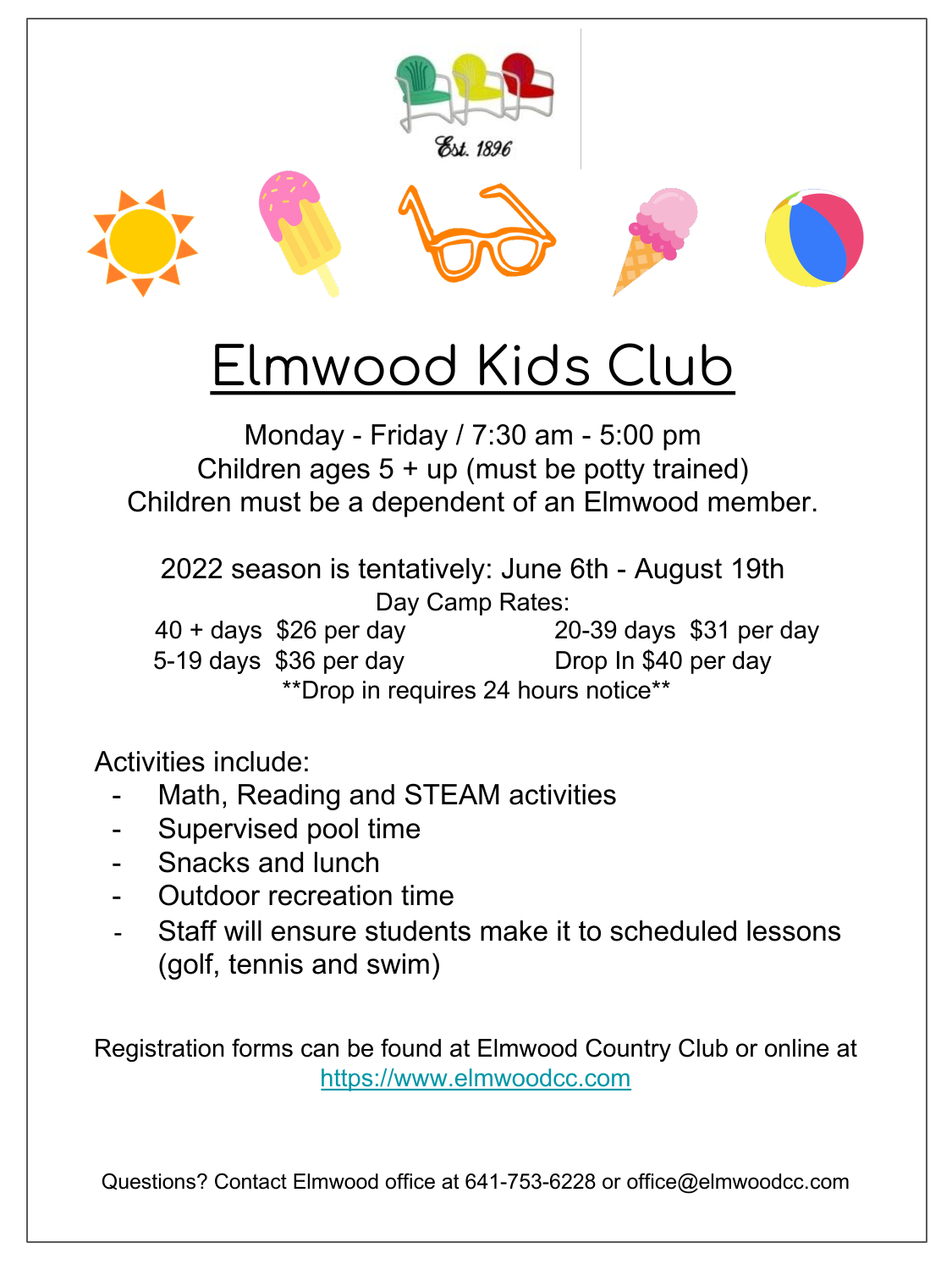

## Elmwood Kids Club

Monday - Friday / 7:30 am - 5:00 pm Children ages  $5 + up$  (must be potty trained) Children must be a dependent of an Elmwood member.

2022 season is tentatively: June 6th - August 19th Day Camp Rates: 40 + days \$26 per day 20-39 days \$31 per day 5-19 days \$36 per day Drop In \$40 per day \*\*Drop in requires 24 hours notice\*\*

Activities include:

- Math, Reading and STEAM activities
- Supervised pool time
- Snacks and lunch
- Outdoor recreation time
- Staff will ensure students make it to scheduled lessons (golf, tennis [and swim\)](https://www.elmwoodcc.com/)

Registration forms can be found at Elmwood Country Club or online at https://www.elmwoodcc.com

Questions? Contact Elmwood office at 641-753-6228 or office@elmwoodcc.com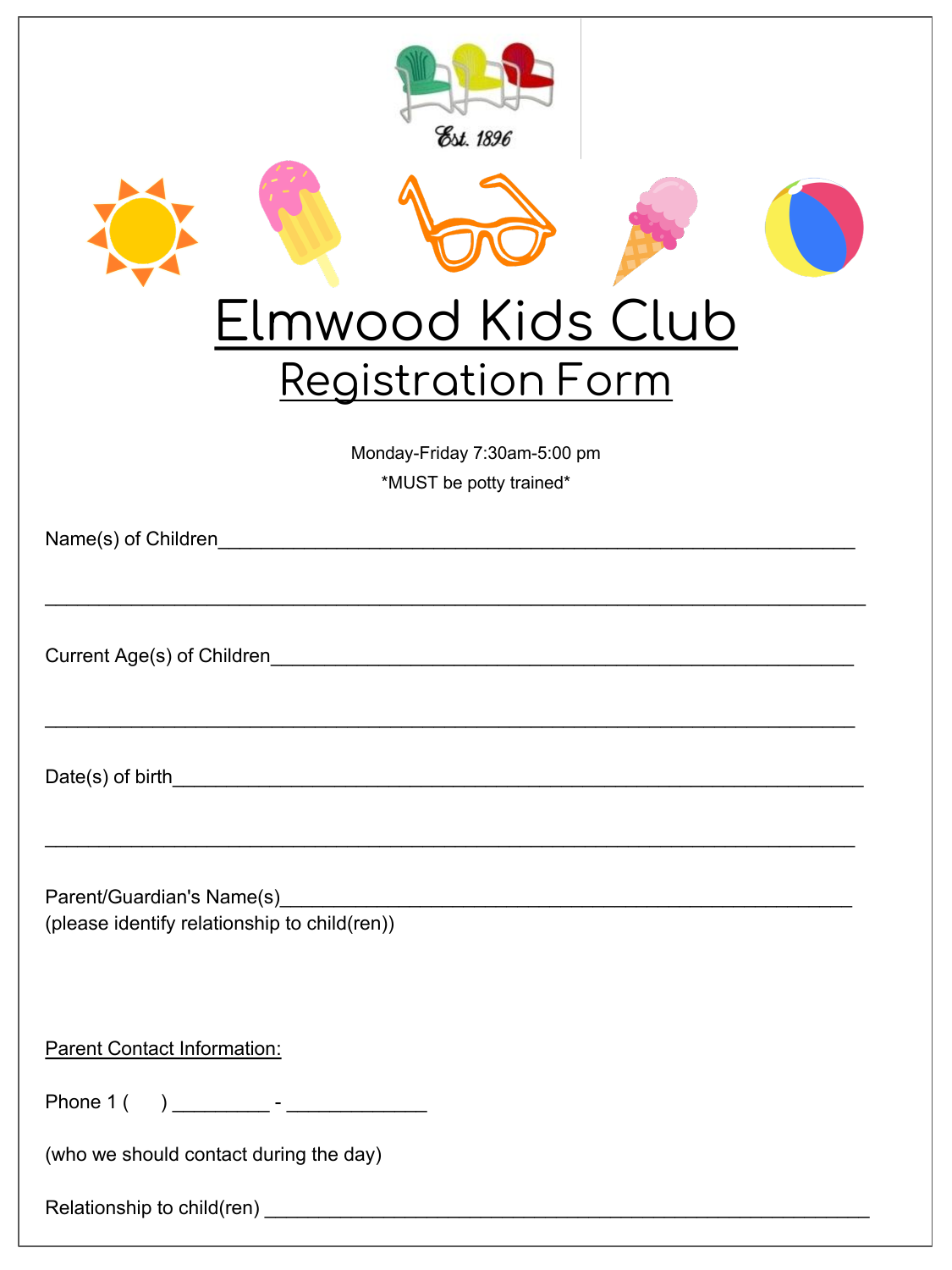| Est. 1896<br>Elmwood Kids Club<br><b>Registration Form</b><br>Monday-Friday 7:30am-5:00 pm<br>*MUST be potty trained*<br>Name(s) of Children |
|----------------------------------------------------------------------------------------------------------------------------------------------|
| Current Age(s) of Children<br><u> 1980 - John Stein, Amerikaansk politiker (</u>                                                             |
| Date(s) of birth                                                                                                                             |
| (please identify relationship to child(ren))                                                                                                 |
| <b>Parent Contact Information:</b><br>Phone 1 (                                                                                              |
| (who we should contact during the day)                                                                                                       |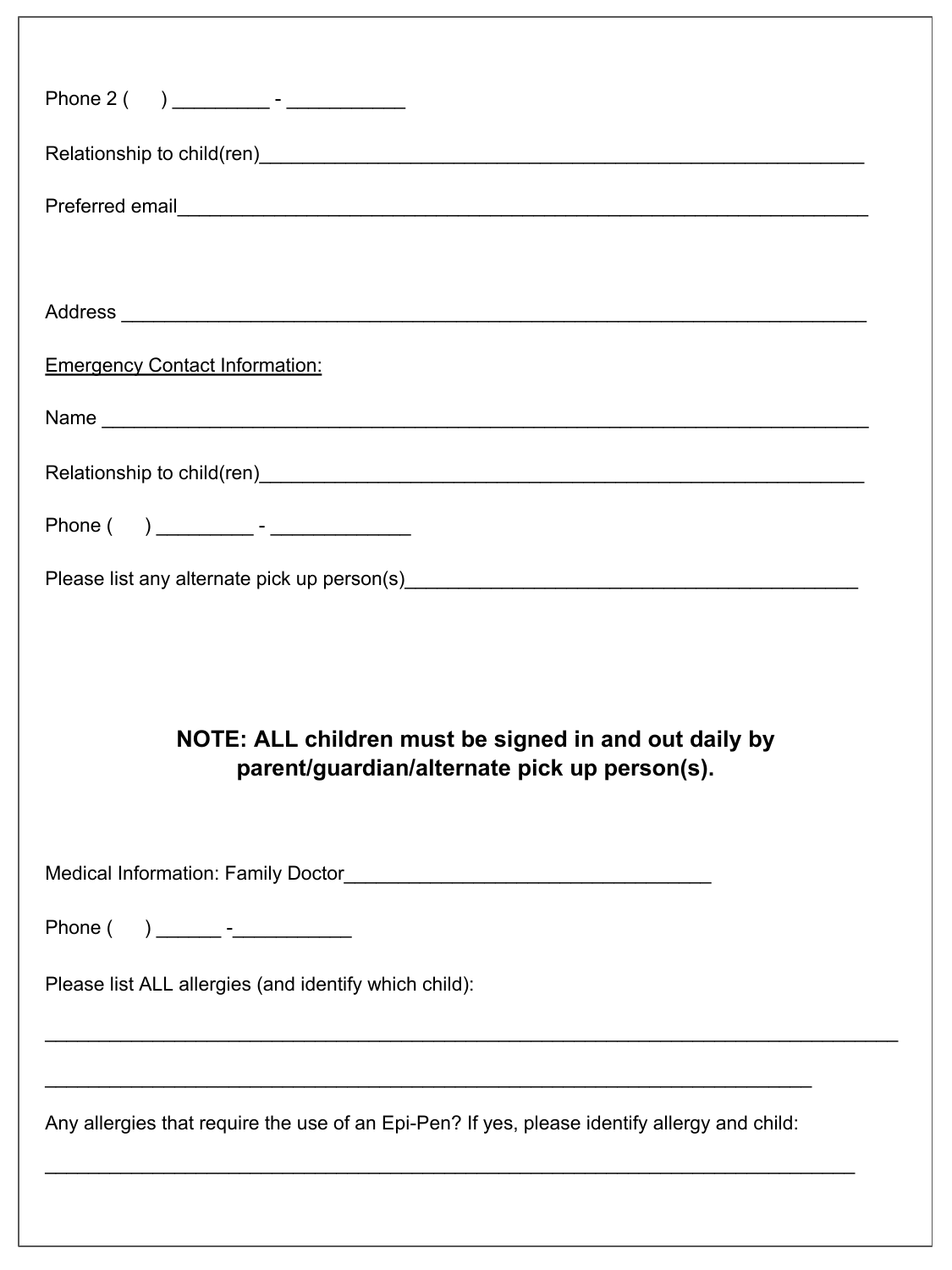| Relationship to child(ren)<br>and the contract of the contract of the contract of the contract of the contract of the contract of the contract of the contract of the contract of the contract of the contract of the contract o |
|----------------------------------------------------------------------------------------------------------------------------------------------------------------------------------------------------------------------------------|
|                                                                                                                                                                                                                                  |
|                                                                                                                                                                                                                                  |
|                                                                                                                                                                                                                                  |
| <b>Emergency Contact Information:</b>                                                                                                                                                                                            |
|                                                                                                                                                                                                                                  |
|                                                                                                                                                                                                                                  |
|                                                                                                                                                                                                                                  |
|                                                                                                                                                                                                                                  |
|                                                                                                                                                                                                                                  |
| NOTE: ALL children must be signed in and out daily by<br>parent/guardian/alternate pick up person(s).                                                                                                                            |
|                                                                                                                                                                                                                                  |
| Phone ( ) ________ -____________                                                                                                                                                                                                 |
| Please list ALL allergies (and identify which child):                                                                                                                                                                            |
| ,我们也不会有一个人的人,我们也不会有一个人的人,我们也不会有一个人的人。""我们,我们也不会有一个人的人,我们也不会有一个人的人。""我们,我们也不会有一个人<br>Any allergies that require the use of an Epi-Pen? If yes, please identify allergy and child:                                                 |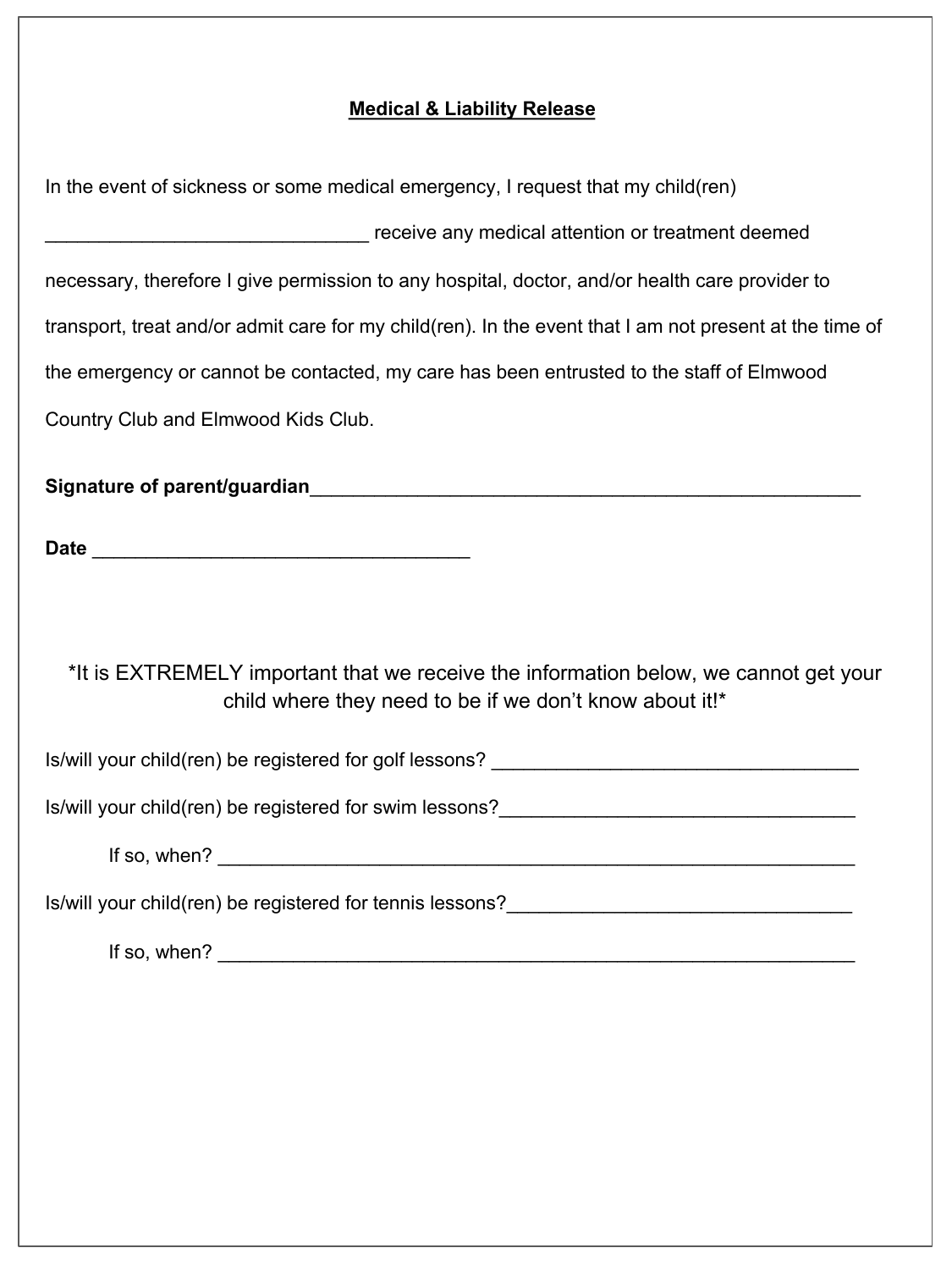## **Medical & Liability Release**

| In the event of sickness or some medical emergency, I request that my child(ren)                                                                                                                                                  |
|-----------------------------------------------------------------------------------------------------------------------------------------------------------------------------------------------------------------------------------|
| receive any medical attention or treatment deemed                                                                                                                                                                                 |
| necessary, therefore I give permission to any hospital, doctor, and/or health care provider to                                                                                                                                    |
| transport, treat and/or admit care for my child(ren). In the event that I am not present at the time of                                                                                                                           |
| the emergency or cannot be contacted, my care has been entrusted to the staff of Elmwood                                                                                                                                          |
| Country Club and Elmwood Kids Club.                                                                                                                                                                                               |
|                                                                                                                                                                                                                                   |
|                                                                                                                                                                                                                                   |
|                                                                                                                                                                                                                                   |
|                                                                                                                                                                                                                                   |
| *It is EXTREMELY important that we receive the information below, we cannot get your<br>child where they need to be if we don't know about it!*                                                                                   |
| Is/will your child(ren) be registered for golf lessons?                                                                                                                                                                           |
| Is/will your child(ren) be registered for swim lessons?                                                                                                                                                                           |
| If so, when? $\frac{1}{2}$ is a set of the set of the set of the set of the set of the set of the set of the set of the set of the set of the set of the set of the set of the set of the set of the set of the set of the set of |
| Is/will your child(ren) be registered for tennis lessons?________________________                                                                                                                                                 |
| If so, when?                                                                                                                                                                                                                      |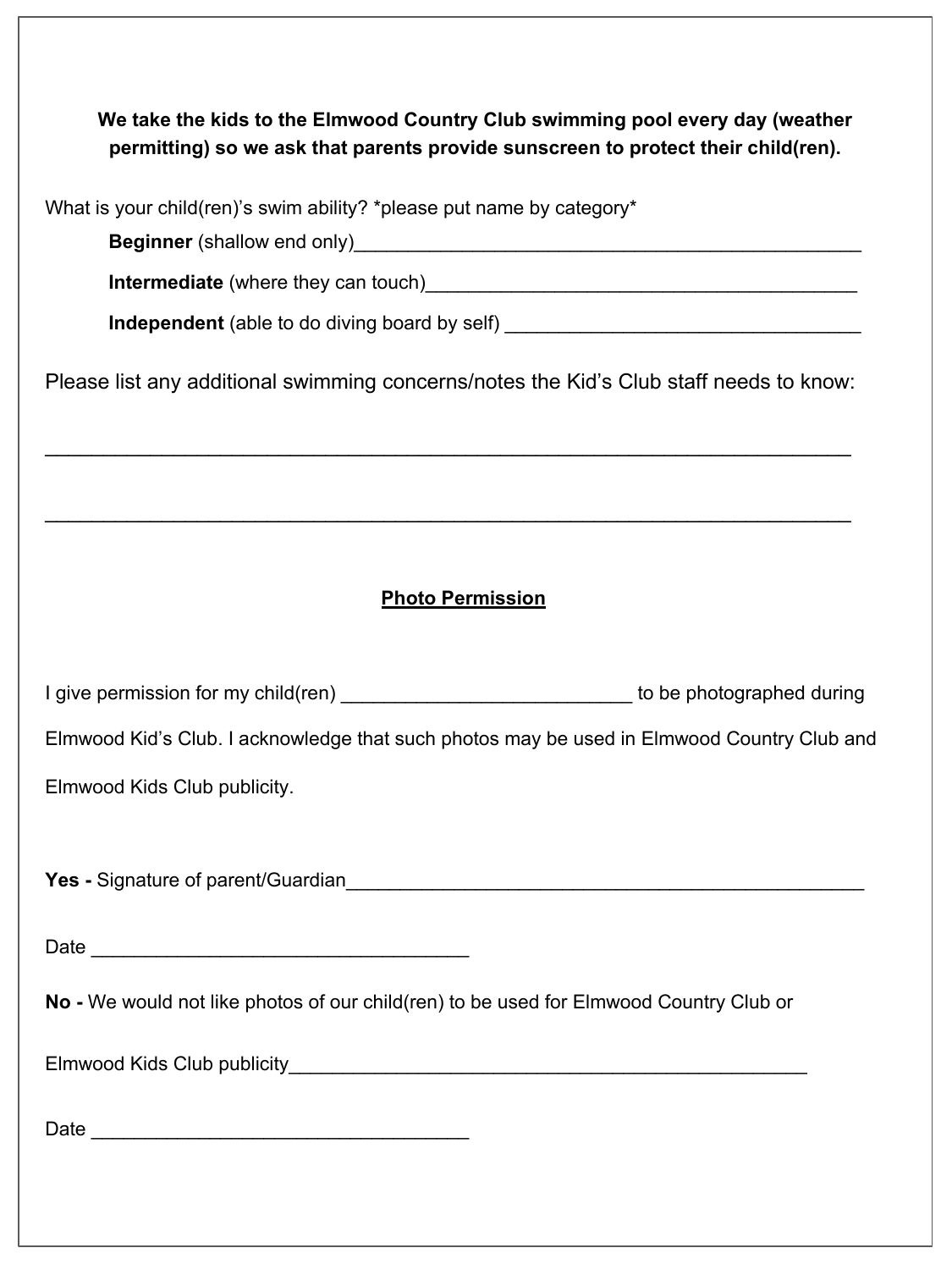| We take the kids to the Elmwood Country Club swimming pool every day (weather     |
|-----------------------------------------------------------------------------------|
| permitting) so we ask that parents provide sunscreen to protect their child(ren). |

| What is your child(ren)'s swim ability? *please put name by category*                                                                                                                                                          |
|--------------------------------------------------------------------------------------------------------------------------------------------------------------------------------------------------------------------------------|
| Beginner (shallow end only) [2012] [2013] [2013] [2013] [2013] [2013] [2013] [2014] [2014] [2014] [2014] [2014] [2014] [2014] [2014] [2014] [2014] [2014] [2014] [2014] [2014] [2014] [2014] [2014] [2014] [2014] [2014] [2014 |
|                                                                                                                                                                                                                                |
| Independent (able to do diving board by self) __________________________________                                                                                                                                               |
| Please list any additional swimming concerns/notes the Kid's Club staff needs to know:                                                                                                                                         |
| <u> 1989 - Jan Barbara, Amerikaansk politiker (d. 1989)</u>                                                                                                                                                                    |
| <b>Photo Permission</b>                                                                                                                                                                                                        |
| I give permission for my child(ren) _________________________________ to be photographed during                                                                                                                                |
| Elmwood Kid's Club. I acknowledge that such photos may be used in Elmwood Country Club and                                                                                                                                     |
| Elmwood Kids Club publicity.                                                                                                                                                                                                   |
|                                                                                                                                                                                                                                |
|                                                                                                                                                                                                                                |
| No - We would not like photos of our child(ren) to be used for Elmwood Country Club or                                                                                                                                         |
|                                                                                                                                                                                                                                |
|                                                                                                                                                                                                                                |